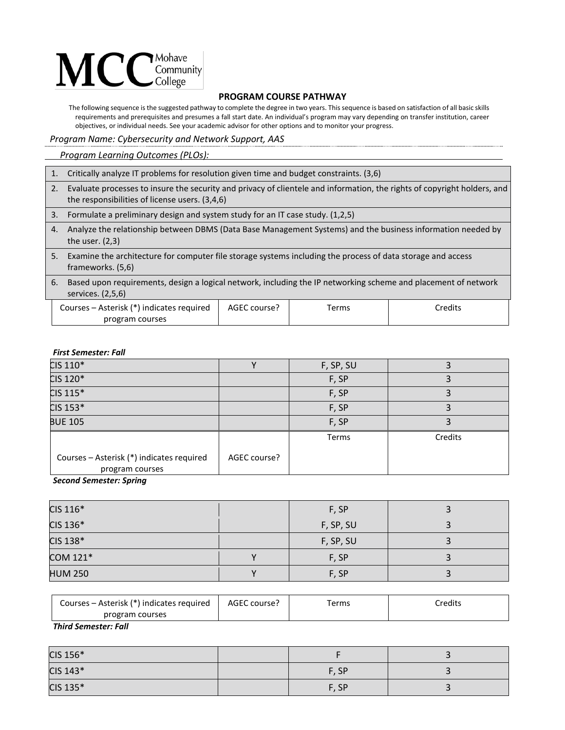# $\mathbf{MCC}_{\text{Complex}}^{\text{Monawel}}$

## **PROGRAM COURSE PATHWAY**

The following sequence is the suggested pathway to complete the degree in two years. This sequence is based on satisfaction of all basic skills requirements and prerequisites and presumes a fall start date. An individual's program may vary depending on transfer institution, career objectives, or individual needs. See your academic advisor for other options and to monitor your progress.

## *Program Name: Cybersecurity and Network Support, AAS*

 *Program Learning Outcomes (PLOs):* 

- 1. Critically analyze IT problems for resolution given time and budget constraints. (3,6)
- 2. Evaluate processes to insure the security and privacy of clientele and information, the rights of copyright holders, and the responsibilities of license users. (3,4,6)
- 3. Formulate a preliminary design and system study for an IT case study. (1,2,5)
- 4. Analyze the relationship between DBMS (Data Base Management Systems) and the business information needed by the user. (2,3)
- 5. Examine the architecture for computer file storage systems including the process of data storage and access frameworks. (5,6)
- 6. Based upon requirements, design a logical network, including the IP networking scheme and placement of network services. (2,5,6)

| Courses – Asterisk (*) indicates required | AGEC course? | erms | redits: |
|-------------------------------------------|--------------|------|---------|
| program courses                           |              |      |         |

#### *First Semester: Fall*

| CIS 110*                                                     |              | F, SP, SU |         |
|--------------------------------------------------------------|--------------|-----------|---------|
| CIS 120*                                                     |              | F, SP     |         |
| $CIS$ 115 $*$                                                |              | F, SP     |         |
| CIS 153*                                                     |              | F, SP     |         |
| <b>BUE 105</b>                                               |              | F, SP     |         |
|                                                              |              | Terms     | Credits |
| Courses - Asterisk (*) indicates required<br>program courses | AGEC course? |           |         |

*Second Semester: Spring*

| CIS 116*       | F, SP     |  |
|----------------|-----------|--|
| CIS 136*       | F, SP, SU |  |
| CIS 138*       | F, SP, SU |  |
| COM 121*       | F, SP     |  |
| <b>HUM 250</b> | F, SP     |  |

| Courses – Asterisk (*) indicates required | AGEC course? | erms | Credits |
|-------------------------------------------|--------------|------|---------|
| program courses                           |              |      |         |

*Third Semester: Fall*

| CIS 156* |       |  |
|----------|-------|--|
| CIS 143* | F, SP |  |
| CIS 135* | F, SP |  |